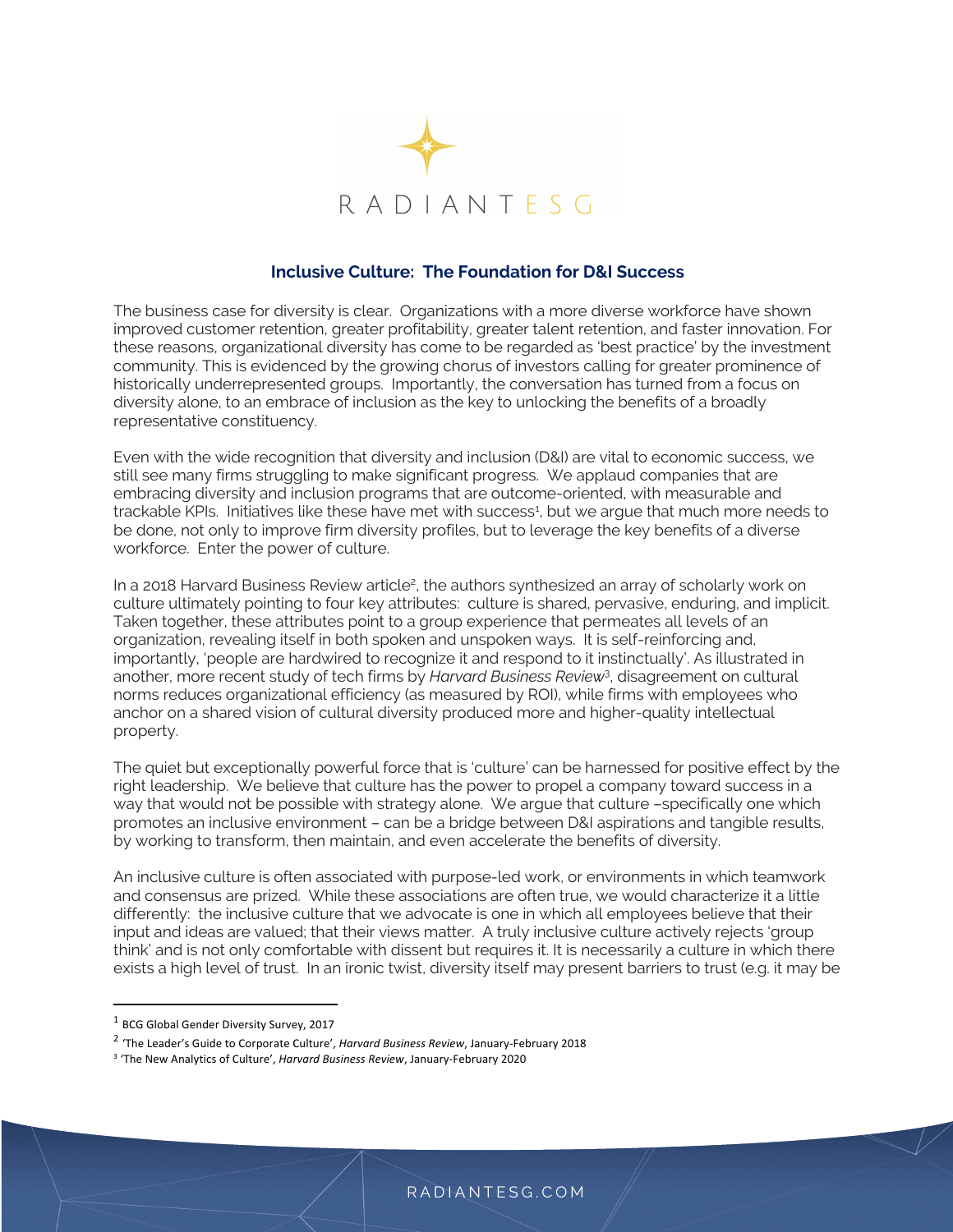

## **Inclusive Culture: The Foundation for D&I Success**

The business case for diversity is clear. Organizations with a more diverse workforce have shown improved customer retention, greater profitability, greater talent retention, and faster innovation. For these reasons, organizational diversity has come to be regarded as 'best practice' by the investment community. This is evidenced by the growing chorus of investors calling for greater prominence of historically underrepresented groups. Importantly, the conversation has turned from a focus on diversity alone, to an embrace of inclusion as the key to unlocking the benefits of a broadly representative constituency.

Even with the wide recognition that diversity and inclusion (D&I) are vital to economic success, we still see many firms struggling to make significant progress. We applaud companies that are embracing diversity and inclusion programs that are outcome-oriented, with measurable and trackable KPIs. Initiatives like these have met with success<sup>1</sup>, but we argue that much more needs to be done, not only to improve firm diversity profiles, but to leverage the key benefits of a diverse workforce. Enter the power of culture.

In a 2018 Harvard Business Review article<sup>2</sup>, the authors synthesized an array of scholarly work on culture ultimately pointing to four key attributes: culture is shared, pervasive, enduring, and implicit. Taken together, these attributes point to a group experience that permeates all levels of an organization, revealing itself in both spoken and unspoken ways. It is self-reinforcing and, importantly, 'people are hardwired to recognize it and respond to it instinctually'. As illustrated in another, more recent study of tech firms by *Harvard Business Review*<sup>3</sup> , disagreement on cultural norms reduces organizational efficiency (as measured by ROI), while firms with employees who anchor on a shared vision of cultural diversity produced more and higher-quality intellectual property.

The quiet but exceptionally powerful force that is 'culture' can be harnessed for positive effect by the right leadership. We believe that culture has the power to propel a company toward success in a way that would not be possible with strategy alone. We argue that culture –specifically one which promotes an inclusive environment – can be a bridge between D&I aspirations and tangible results, by working to transform, then maintain, and even accelerate the benefits of diversity.

An inclusive culture is often associated with purpose-led work, or environments in which teamwork and consensus are prized. While these associations are often true, we would characterize it a little differently: the inclusive culture that we advocate is one in which all employees believe that their input and ideas are valued; that their views matter. A truly inclusive culture actively rejects 'group think' and is not only comfortable with dissent but requires it. It is necessarily a culture in which there exists a high level of trust. In an ironic twist, diversity itself may present barriers to trust (e.g. it may be

<sup>1</sup> BCG Global Gender Diversity Survey, 2017

<sup>2</sup> 'The Leader's Guide to Corporate Culture', *Harvard Business Review*, January-February 2018

<sup>3</sup> 'The New Analytics of Culture', *Harvard Business Review*, January-February 2020